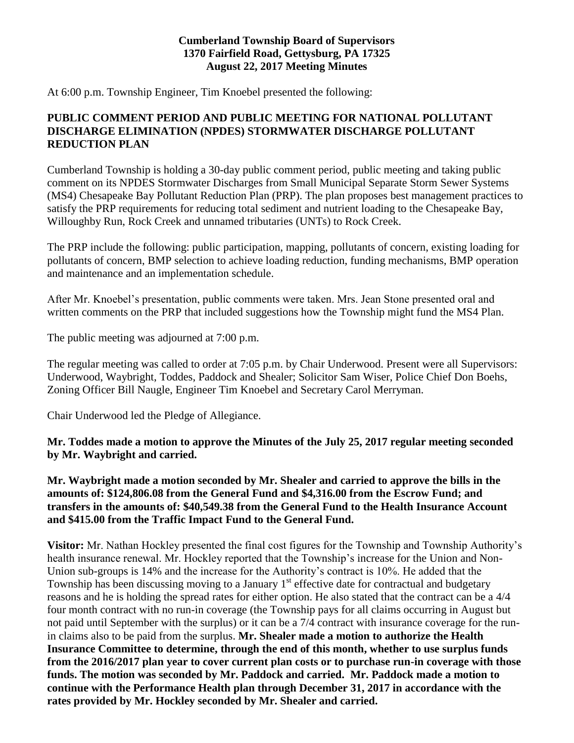#### **Cumberland Township Board of Supervisors 1370 Fairfield Road, Gettysburg, PA 17325 August 22, 2017 Meeting Minutes**

At 6:00 p.m. Township Engineer, Tim Knoebel presented the following:

### **PUBLIC COMMENT PERIOD AND PUBLIC MEETING FOR NATIONAL POLLUTANT DISCHARGE ELIMINATION (NPDES) STORMWATER DISCHARGE POLLUTANT REDUCTION PLAN**

Cumberland Township is holding a 30-day public comment period, public meeting and taking public comment on its NPDES Stormwater Discharges from Small Municipal Separate Storm Sewer Systems (MS4) Chesapeake Bay Pollutant Reduction Plan (PRP). The plan proposes best management practices to satisfy the PRP requirements for reducing total sediment and nutrient loading to the Chesapeake Bay, Willoughby Run, Rock Creek and unnamed tributaries (UNTs) to Rock Creek.

The PRP include the following: public participation, mapping, pollutants of concern, existing loading for pollutants of concern, BMP selection to achieve loading reduction, funding mechanisms, BMP operation and maintenance and an implementation schedule.

After Mr. Knoebel's presentation, public comments were taken. Mrs. Jean Stone presented oral and written comments on the PRP that included suggestions how the Township might fund the MS4 Plan.

The public meeting was adjourned at 7:00 p.m.

The regular meeting was called to order at 7:05 p.m. by Chair Underwood. Present were all Supervisors: Underwood, Waybright, Toddes, Paddock and Shealer; Solicitor Sam Wiser, Police Chief Don Boehs, Zoning Officer Bill Naugle, Engineer Tim Knoebel and Secretary Carol Merryman.

Chair Underwood led the Pledge of Allegiance.

**Mr. Toddes made a motion to approve the Minutes of the July 25, 2017 regular meeting seconded by Mr. Waybright and carried.**

**Mr. Waybright made a motion seconded by Mr. Shealer and carried to approve the bills in the amounts of: \$124,806.08 from the General Fund and \$4,316.00 from the Escrow Fund; and transfers in the amounts of: \$40,549.38 from the General Fund to the Health Insurance Account and \$415.00 from the Traffic Impact Fund to the General Fund.**

**Visitor:** Mr. Nathan Hockley presented the final cost figures for the Township and Township Authority's health insurance renewal. Mr. Hockley reported that the Township's increase for the Union and Non-Union sub-groups is 14% and the increase for the Authority's contract is 10%. He added that the Township has been discussing moving to a January  $1<sup>st</sup>$  effective date for contractual and budgetary reasons and he is holding the spread rates for either option. He also stated that the contract can be a 4/4 four month contract with no run-in coverage (the Township pays for all claims occurring in August but not paid until September with the surplus) or it can be a 7/4 contract with insurance coverage for the runin claims also to be paid from the surplus. **Mr. Shealer made a motion to authorize the Health Insurance Committee to determine, through the end of this month, whether to use surplus funds from the 2016/2017 plan year to cover current plan costs or to purchase run-in coverage with those funds. The motion was seconded by Mr. Paddock and carried. Mr. Paddock made a motion to continue with the Performance Health plan through December 31, 2017 in accordance with the rates provided by Mr. Hockley seconded by Mr. Shealer and carried.**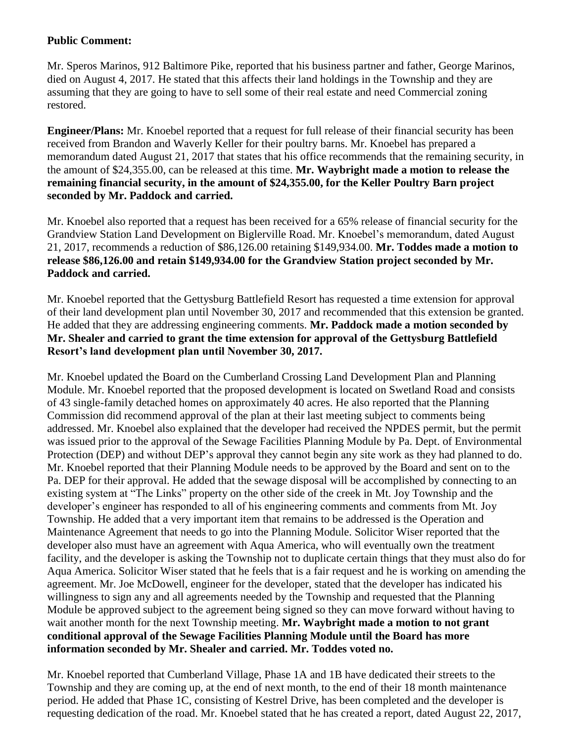## **Public Comment:**

Mr. Speros Marinos, 912 Baltimore Pike, reported that his business partner and father, George Marinos, died on August 4, 2017. He stated that this affects their land holdings in the Township and they are assuming that they are going to have to sell some of their real estate and need Commercial zoning restored.

**Engineer/Plans:** Mr. Knoebel reported that a request for full release of their financial security has been received from Brandon and Waverly Keller for their poultry barns. Mr. Knoebel has prepared a memorandum dated August 21, 2017 that states that his office recommends that the remaining security, in the amount of \$24,355.00, can be released at this time. **Mr. Waybright made a motion to release the remaining financial security, in the amount of \$24,355.00, for the Keller Poultry Barn project seconded by Mr. Paddock and carried.**

Mr. Knoebel also reported that a request has been received for a 65% release of financial security for the Grandview Station Land Development on Biglerville Road. Mr. Knoebel's memorandum, dated August 21, 2017, recommends a reduction of \$86,126.00 retaining \$149,934.00. **Mr. Toddes made a motion to release \$86,126.00 and retain \$149,934.00 for the Grandview Station project seconded by Mr. Paddock and carried.**

Mr. Knoebel reported that the Gettysburg Battlefield Resort has requested a time extension for approval of their land development plan until November 30, 2017 and recommended that this extension be granted. He added that they are addressing engineering comments. **Mr. Paddock made a motion seconded by Mr. Shealer and carried to grant the time extension for approval of the Gettysburg Battlefield Resort's land development plan until November 30, 2017.**

Mr. Knoebel updated the Board on the Cumberland Crossing Land Development Plan and Planning Module. Mr. Knoebel reported that the proposed development is located on Swetland Road and consists of 43 single-family detached homes on approximately 40 acres. He also reported that the Planning Commission did recommend approval of the plan at their last meeting subject to comments being addressed. Mr. Knoebel also explained that the developer had received the NPDES permit, but the permit was issued prior to the approval of the Sewage Facilities Planning Module by Pa. Dept. of Environmental Protection (DEP) and without DEP's approval they cannot begin any site work as they had planned to do. Mr. Knoebel reported that their Planning Module needs to be approved by the Board and sent on to the Pa. DEP for their approval. He added that the sewage disposal will be accomplished by connecting to an existing system at "The Links" property on the other side of the creek in Mt. Joy Township and the developer's engineer has responded to all of his engineering comments and comments from Mt. Joy Township. He added that a very important item that remains to be addressed is the Operation and Maintenance Agreement that needs to go into the Planning Module. Solicitor Wiser reported that the developer also must have an agreement with Aqua America, who will eventually own the treatment facility, and the developer is asking the Township not to duplicate certain things that they must also do for Aqua America. Solicitor Wiser stated that he feels that is a fair request and he is working on amending the agreement. Mr. Joe McDowell, engineer for the developer, stated that the developer has indicated his willingness to sign any and all agreements needed by the Township and requested that the Planning Module be approved subject to the agreement being signed so they can move forward without having to wait another month for the next Township meeting. **Mr. Waybright made a motion to not grant conditional approval of the Sewage Facilities Planning Module until the Board has more information seconded by Mr. Shealer and carried. Mr. Toddes voted no.** 

Mr. Knoebel reported that Cumberland Village, Phase 1A and 1B have dedicated their streets to the Township and they are coming up, at the end of next month, to the end of their 18 month maintenance period. He added that Phase 1C, consisting of Kestrel Drive, has been completed and the developer is requesting dedication of the road. Mr. Knoebel stated that he has created a report, dated August 22, 2017,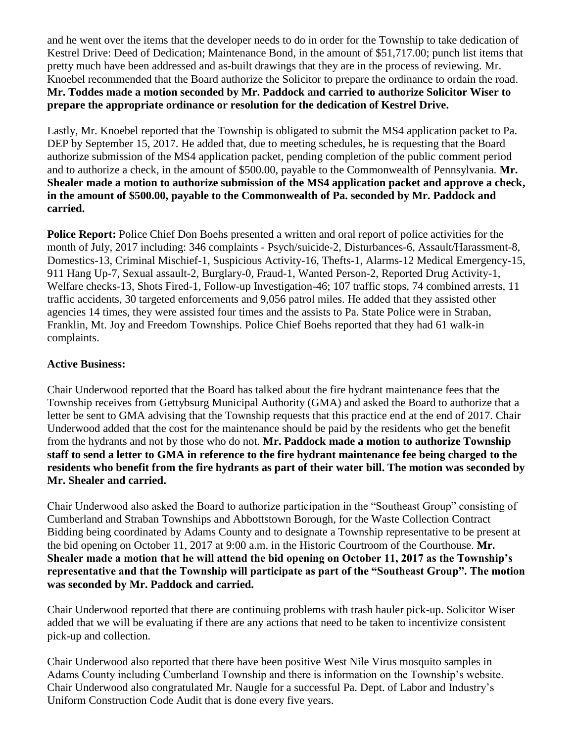and he went over the items that the developer needs to do in order for the Township to take dedication of Kestrel Drive: Deed of Dedication; Maintenance Bond, in the amount of \$51,717.00; punch list items that pretty much have been addressed and as-built drawings that they are in the process of reviewing. Mr. Knoebel recommended that the Board authorize the Solicitor to prepare the ordinance to ordain the road. **Mr. Toddes made a motion seconded by Mr. Paddock and carried to authorize Solicitor Wiser to prepare the appropriate ordinance or resolution for the dedication of Kestrel Drive.** 

Lastly, Mr. Knoebel reported that the Township is obligated to submit the MS4 application packet to Pa. DEP by September 15, 2017. He added that, due to meeting schedules, he is requesting that the Board authorize submission of the MS4 application packet, pending completion of the public comment period and to authorize a check, in the amount of \$500.00, payable to the Commonwealth of Pennsylvania. **Mr. Shealer made a motion to authorize submission of the MS4 application packet and approve a check, in the amount of \$500.00, payable to the Commonwealth of Pa. seconded by Mr. Paddock and carried.**

**Police Report:** Police Chief Don Boehs presented a written and oral report of police activities for the month of July, 2017 including: 346 complaints - Psych/suicide-2, Disturbances-6, Assault/Harassment-8, Domestics-13, Criminal Mischief-1, Suspicious Activity-16, Thefts-1, Alarms-12 Medical Emergency-15, 911 Hang Up-7, Sexual assault-2, Burglary-0, Fraud-1, Wanted Person-2, Reported Drug Activity-1, Welfare checks-13, Shots Fired-1, Follow-up Investigation-46; 107 traffic stops, 74 combined arrests, 11 traffic accidents, 30 targeted enforcements and 9,056 patrol miles. He added that they assisted other agencies 14 times, they were assisted four times and the assists to Pa. State Police were in Straban, Franklin, Mt. Joy and Freedom Townships. Police Chief Boehs reported that they had 61 walk-in complaints.

# **Active Business:**

Chair Underwood reported that the Board has talked about the fire hydrant maintenance fees that the Township receives from Gettybsurg Municipal Authority (GMA) and asked the Board to authorize that a letter be sent to GMA advising that the Township requests that this practice end at the end of 2017. Chair Underwood added that the cost for the maintenance should be paid by the residents who get the benefit from the hydrants and not by those who do not. **Mr. Paddock made a motion to authorize Township staff to send a letter to GMA in reference to the fire hydrant maintenance fee being charged to the residents who benefit from the fire hydrants as part of their water bill. The motion was seconded by Mr. Shealer and carried.**

Chair Underwood also asked the Board to authorize participation in the "Southeast Group" consisting of Cumberland and Straban Townships and Abbottstown Borough, for the Waste Collection Contract Bidding being coordinated by Adams County and to designate a Township representative to be present at the bid opening on October 11, 2017 at 9:00 a.m. in the Historic Courtroom of the Courthouse. **Mr. Shealer made a motion that he will attend the bid opening on October 11, 2017 as the Township's representative and that the Township will participate as part of the "Southeast Group". The motion was seconded by Mr. Paddock and carried.**

Chair Underwood reported that there are continuing problems with trash hauler pick-up. Solicitor Wiser added that we will be evaluating if there are any actions that need to be taken to incentivize consistent pick-up and collection.

Chair Underwood also reported that there have been positive West Nile Virus mosquito samples in Adams County including Cumberland Township and there is information on the Township's website. Chair Underwood also congratulated Mr. Naugle for a successful Pa. Dept. of Labor and Industry's Uniform Construction Code Audit that is done every five years.